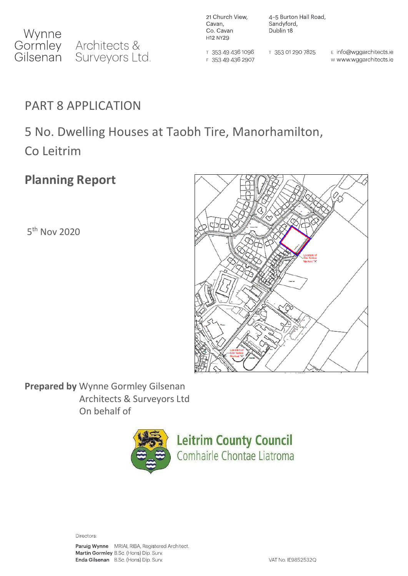21 Church View, Cavan, Co. Cavan H12 NY29

T 353 49 436 1096

F 353 49 436 2907

4-5 Burton Hall Road, Sandyford, Dublin 18

T 353 01 290 7825

E info@wggarchitects.ie w www.wggarchitects.ie

## PART 8 APPLICATION

## 5 No. Dwelling Houses at Taobh Tire, Manorhamilton,

Co Leitrim

## **Planning Report**

5<sup>th</sup> Nov 2020



**Prepared by** Wynne Gormley Gilsenan Architects & Surveyors Ltd On behalf of



Directors:

Paruig Wynne MRIAI, RIBA, Registered Architect. Martin Gormley B.Sc. (Hons) Dip. Surv. Enda Gilsenan B.Sc. (Hons) Dip. Surv.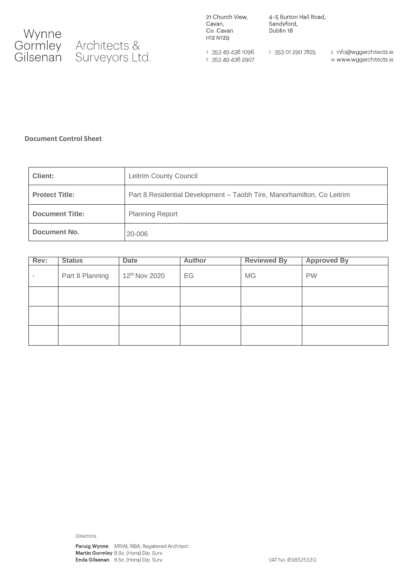

21 Church View, Cavan, Co. Cavan H12 NY29

4-5 Burton Hall Road, Sandyford, Dublin 18

T 353 49 436 1096 F 353 49 436 2907 T 353 01 290 7825

E info@wggarchitects.ie w www.wggarchitects.ie

#### **Document Control Sheet**

| <b>Client:</b>         | Leitrim County Council                                                 |
|------------------------|------------------------------------------------------------------------|
| <b>Protect Title:</b>  | Part 8 Residential Development - Taobh Tire, Manorhamilton, Co Leitrim |
| <b>Document Title:</b> | <b>Planning Report</b>                                                 |
| Document No.           | 20-006                                                                 |

| Rev:                     | <b>Status</b>   | <b>Date</b>   | <b>Author</b> | <b>Reviewed By</b> | <b>Approved By</b> |
|--------------------------|-----------------|---------------|---------------|--------------------|--------------------|
| $\overline{\phantom{a}}$ | Part 8 Planning | 12th Nov 2020 | EG            | <b>MG</b>          | <b>PW</b>          |
|                          |                 |               |               |                    |                    |
|                          |                 |               |               |                    |                    |
|                          |                 |               |               |                    |                    |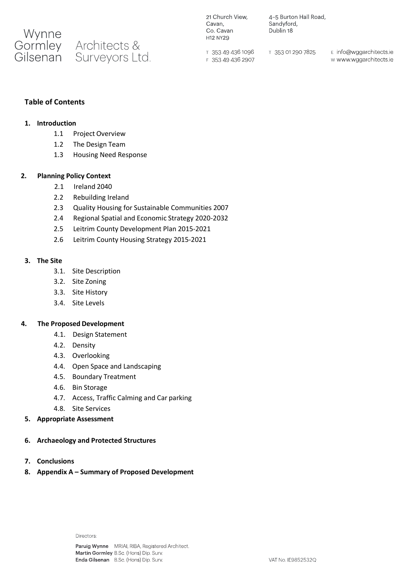

4-5 Burton Hall Road, Sandyford, Dublin 18

T 353 49 436 1096 F 353 49 436 2907 T 353 01 290 7825

E info@wggarchitects.ie w www.wggarchitects.ie

#### **Table of Contents**

#### **1. Introduction**

- 1.1 Project Overview
- 1.2 The Design Team
- 1.3 Housing Need Response

#### **2. Planning Policy Context**

- 2.1 Ireland 2040
- 2.2 Rebuilding Ireland
- 2.3 Quality Housing for Sustainable Communities 2007
- 2.4 Regional Spatial and Economic Strategy 2020-2032
- 2.5 Leitrim County Development Plan 2015-2021
- 2.6 Leitrim County Housing Strategy 2015-2021

#### **3. The Site**

- 3.1. Site Description
- 3.2. Site Zoning
- 3.3. Site History
- 3.4. Site Levels

#### **4. The Proposed Development**

- 4.1. Design Statement
- 4.2. Density
- 4.3. Overlooking
- 4.4. Open Space and Landscaping
- 4.5. Boundary Treatment
- 4.6. Bin Storage
- 4.7. Access, Traffic Calming and Car parking
- 4.8. Site Services
- **5. Appropriate Assessment**
- **6. Archaeology and Protected Structures**
- **7. Conclusions**
- **8. Appendix A – Summary of Proposed Development**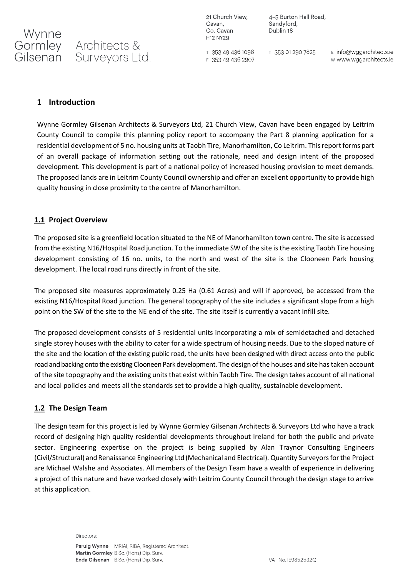21 Church View, Cavan, Co. Cavan H12 NY29

4-5 Burton Hall Road, Sandyford, Dublin 18

T 353 49 436 1096 F 353 49 436 2907 T 353 01 290 7825

E info@wggarchitects.ie w www.wggarchitects.ie

#### **1 Introduction**

Wynne Gormley Gilsenan Architects & Surveyors Ltd, 21 Church View, Cavan have been engaged by Leitrim County Council to compile this planning policy report to accompany the Part 8 planning application for a residential development of 5 no. housing units at Taobh Tire, Manorhamilton, Co Leitrim. This report forms part of an overall package of information setting out the rationale, need and design intent of the proposed development. This development is part of a national policy of increased housing provision to meet demands. The proposed lands are in Leitrim County Council ownership and offer an excellent opportunity to provide high quality housing in close proximity to the centre of Manorhamilton.

#### **1.1 Project Overview**

The proposed site is a greenfield location situated to the NE of Manorhamilton town centre. The site is accessed from the existing N16/Hospital Road junction. To the immediate SW of the site is the existing Taobh Tire housing development consisting of 16 no. units, to the north and west of the site is the Clooneen Park housing development. The local road runs directly in front of the site.

The proposed site measures approximately 0.25 Ha (0.61 Acres) and will if approved, be accessed from the existing N16/Hospital Road junction. The general topography of the site includes a significant slope from a high point on the SW of the site to the NE end of the site. The site itself is currently a vacant infill site.

The proposed development consists of 5 residential units incorporating a mix of semidetached and detached single storey houses with the ability to cater for a wide spectrum of housing needs. Due to the sloped nature of the site and the location of the existing public road, the units have been designed with direct access onto the public road and backing onto the existing Clooneen Park development. The design of the houses and site has taken account of the site topography and the existing units that exist within Taobh Tire. The design takes account of all national and local policies and meets all the standards set to provide a high quality, sustainable development.

#### **1.2 The Design Team**

The design team for this project is led by Wynne Gormley Gilsenan Architects & Surveyors Ltd who have a track record of designing high quality residential developments throughout Ireland for both the public and private sector. Engineering expertise on the project is being supplied by Alan Traynor Consulting Engineers (Civil/Structural) and Renaissance Engineering Ltd (Mechanical and Electrical). Quantity Surveyors for the Project are Michael Walshe and Associates. All members of the Design Team have a wealth of experience in delivering a project of this nature and have worked closely with Leitrim County Council through the design stage to arrive at this application.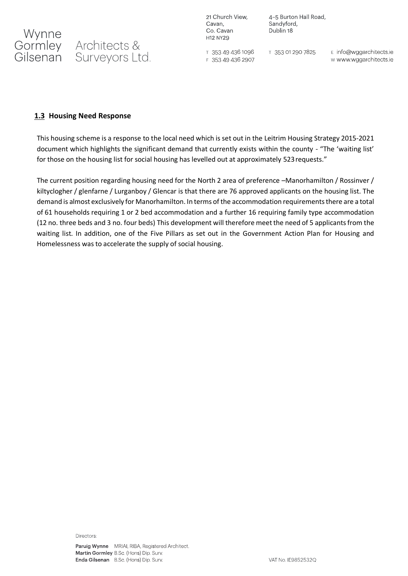

21 Church View, Cavan, Co. Cavan H12 NY29

4-5 Burton Hall Road, Sandyford, Dublin 18

T 353 49 436 1096 F 353 49 436 2907 T 353 01 290 7825

E info@wggarchitects.ie w www.wggarchitects.ie

#### **1.3 Housing Need Response**

This housing scheme is a response to the local need which is set out in the Leitrim Housing Strategy 2015-2021 document which highlights the significant demand that currently exists within the county - "The 'waiting list' for those on the housing list for social housing has levelled out at approximately 523requests."

The current position regarding housing need for the North 2 area of preference –Manorhamilton / Rossinver / kiltyclogher / glenfarne / Lurganboy / Glencar is that there are 76 approved applicants on the housing list. The demand is almost exclusively for Manorhamilton. In terms of the accommodation requirements there are a total of 61 households requiring 1 or 2 bed accommodation and a further 16 requiring family type accommodation (12 no. three beds and 3 no. four beds) This development will therefore meet the need of 5 applicants from the waiting list. In addition, one of the Five Pillars as set out in the Government Action Plan for Housing and Homelessness was to accelerate the supply of social housing.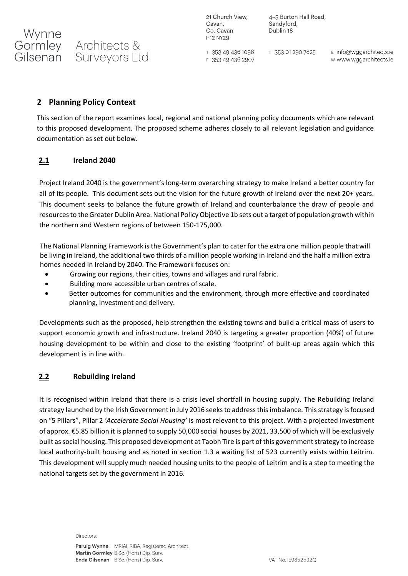4-5 Burton Hall Road, Sandyford, Dublin 18

T 353 49 436 1096 F 353 49 436 2907 T 353 01 290 7825

E info@wggarchitects.ie w www.wggarchitects.ie

#### **2 Planning Policy Context**

Gilsenan Surveyors Ltd.

Architects &

Wynne

Gormley

This section of the report examines local, regional and national planning policy documents which are relevant to this proposed development. The proposed scheme adheres closely to all relevant legislation and guidance documentation as set out below.

#### **2.1 Ireland 2040**

[Project Ireland 2040](https://www.gov.ie/en/policy/project-ireland-2040-policy/) is the government's long-term overarching strategy to make Ireland a better country for all of its people. This document sets out the vision for the future growth of Ireland over the next 20+ years. This document seeks to balance the future growth of Ireland and counterbalance the draw of people and resources to the Greater Dublin Area. National Policy Objective 1b sets out a target of population growth within the northern and Western regions of between 150-175,000.

The National Planning Framework is the Government's plan to cater for the extra one million people that will be living in Ireland, the additional two thirds of a million people working in Ireland and the half a million extra homes needed in Ireland by 2040. The Framework focuses on:

- Growing our regions, their cities, towns and villages and rural fabric.
- Building more accessible urban centres of scale.
- Better outcomes for communities and the environment, through more effective and coordinated planning, investment and delivery.

Developments such as the proposed, help strengthen the existing towns and build a critical mass of users to support economic growth and infrastructure. Ireland 2040 is targeting a greater proportion (40%) of future housing development to be within and close to the existing 'footprint' of built-up areas again which this development is in line with.

#### **2.2 Rebuilding Ireland**

It is recognised within Ireland that there is a crisis level shortfall in housing supply. The Rebuilding Ireland strategy launched by the Irish Government in July 2016 seeks to address this imbalance. This strategy is focused on "5 Pillars", Pillar 2 *'Accelerate Social Housing'* is most relevant to this project. With a projected investment of approx. €5.85 billion it is planned to supply 50,000 social houses by 2021, 33,500 of which will be exclusively built as social housing. This proposed development at Taobh Tire is part of this government strategy to increase local authority-built housing and as noted in section 1.3 a waiting list of 523 currently exists within Leitrim. This development will supply much needed housing units to the people of Leitrim and is a step to meeting the national targets set by the government in 2016.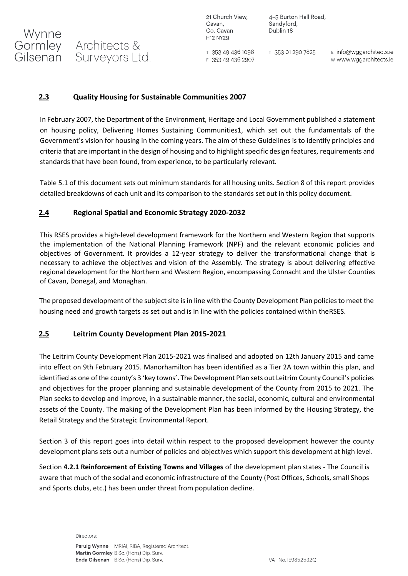4-5 Burton Hall Road, Sandyford, Dublin 18

T 353 49 436 1096 F 353 49 436 2907 T 353 01 290 7825

E info@wggarchitects.ie w www.wggarchitects.ie

#### **2.3 Quality Housing for Sustainable Communities 2007**

Architects &

Gilsenan Surveyors Ltd.

Wynne

Gormley

In February 2007, the Department of the Environment, Heritage and Local Government published a statement on housing policy, Delivering Homes Sustaining Communities1, which set out the fundamentals of the Government's vision for housing in the coming years. The aim of these Guidelines is to identify principles and criteria that are important in the design of housing and to highlight specific design features, requirements and standards that have been found, from experience, to be particularly relevant.

Table 5.1 of this document sets out minimum standards for all housing units. Section 8 of this report provides detailed breakdowns of each unit and its comparison to the standards set out in this policy document.

#### **2.4 Regional Spatial and Economic Strategy 2020-2032**

This RSES provides a high-level development framework for the Northern and Western Region that supports the implementation of the National Planning Framework (NPF) and the relevant economic policies and objectives of Government. It provides a 12-year strategy to deliver the transformational change that is necessary to achieve the objectives and vision of the Assembly. The strategy is about delivering effective regional development for the Northern and Western Region, encompassing Connacht and the Ulster Counties of Cavan, Donegal, and Monaghan.

The proposed development of the subject site is in line with the County Development Plan policies to meet the housing need and growth targets as set out and is in line with the policies contained within theRSES.

### **2.5 Leitrim County Development Plan 2015-2021**

The Leitrim County Development Plan 2015-2021 was finalised and adopted on 12th January 2015 and came into effect on 9th February 2015. Manorhamilton has been identified as a Tier 2A town within this plan, and identified as one of the county's 3 'key towns'. The Development Plan sets out Leitrim County Council's policies and objectives for the proper planning and sustainable development of the County from 2015 to 2021. The Plan seeks to develop and improve, in a sustainable manner, the social, economic, cultural and environmental assets of the County. The making of the Development Plan has been informed by the Housing Strategy, the Retail Strategy and the Strategic Environmental Report.

Section 3 of this report goes into detail within respect to the proposed development however the county development plans sets out a number of policies and objectives which support this development at high level.

Section **4.2.1 Reinforcement of Existing Towns and Villages** of the development plan states - The Council is aware that much of the social and economic infrastructure of the County (Post Offices, Schools, small Shops and Sports clubs, etc.) has been under threat from population decline.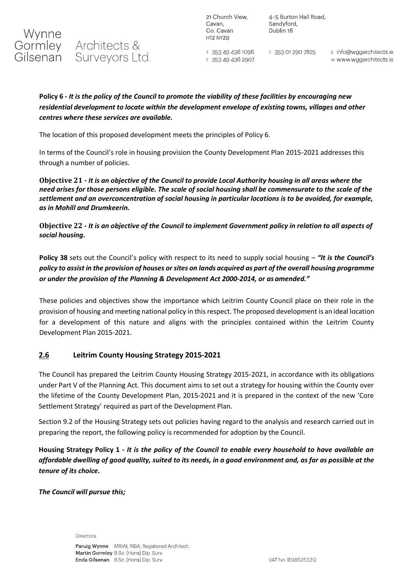

4-5 Burton Hall Road, Sandyford. Dublin 18

T 353 49 436 1096 F 353 49 436 2907

T 353 01 290 7825

E info@wggarchitects.ie w www.wggarchitects.ie

#### **Policy 6 -** *It is the policy of the Council to promote the viability of these facilities by encouraging new residential development to locate within the development envelope of existing towns, villages and other centres where these services are available.*

The location of this proposed development meets the principles of Policy 6.

In terms of the Council's role in housing provision the County Development Plan 2015-2021 addresses this through a number of policies.

**Objective 21 -** *It is an objective of the Council to provide Local Authority housing in all areas where the need arises for those persons eligible. The scale of social housing shall be commensurate to the scale of the settlement and an overconcentration of social housing in particular locations is to be avoided, for example, as in Mohill and Drumkeerin.*

**Objective 22 -** *It is an objective of the Council to implement Government policy in relation to all aspects of social housing.*

**Policy 38** sets out the Council's policy with respect to its need to supply social housing – *"It is the Council's*  policy to assist in the provision of houses or sites on lands acquired as part of the overall housing programme *or under the provision of the Planning & Development Act 2000-2014, or as amended."*

These policies and objectives show the importance which Leitrim County Council place on their role in the provision of housing and meeting national policy in thisrespect. The proposed development is an ideal location for a development of this nature and aligns with the principles contained within the Leitrim County Development Plan 2015-2021.

#### **2.6 Leitrim County Housing Strategy 2015-2021**

The Council has prepared the Leitrim County Housing Strategy 2015-2021, in accordance with its obligations under Part V of the Planning Act. This document aims to set out a strategy for housing within the County over the lifetime of the County Development Plan, 2015-2021 and it is prepared in the context of the new 'Core Settlement Strategy' required as part of the Development Plan.

Section 9.2 of the Housing Strategy sets out policies having regard to the analysis and research carried out in preparing the report, the following policy is recommended for adoption by the Council.

**Housing Strategy Policy 1** *- It is the policy of the Council to enable every household to have available an*  affordable dwelling of good quality, suited to its needs, in a good environment and, as far as possible at the *tenure of its choice.* 

*The Council will pursue this;*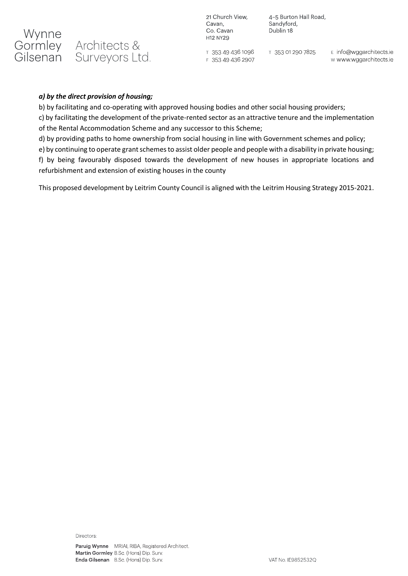

4-5 Burton Hall Road, Sandyford, Dublin 18

⊤ 353 49 436 1096 F 353 49 436 2907

T 353 01 290 7825

E info@wggarchitects.ie w www.wggarchitects.ie

#### *a) by the direct provision of housing;*

b) by facilitating and co-operating with approved housing bodies and other social housing providers;

c) by facilitating the development of the private-rented sector as an attractive tenure and the implementation of the Rental Accommodation Scheme and any successor to this Scheme;

d) by providing paths to home ownership from social housing in line with Government schemes and policy;

e) by continuing to operate grant schemes to assist older people and people with a disability in private housing;

f) by being favourably disposed towards the development of new houses in appropriate locations and refurbishment and extension of existing houses in the county

This proposed development by Leitrim County Council is aligned with the Leitrim Housing Strategy 2015-2021.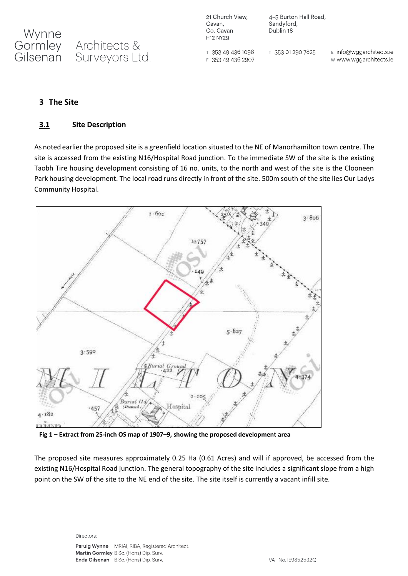21 Church View, Cavan, Co. Cavan H12 NY29

4-5 Burton Hall Road, Sandyford, Dublin 18

T 353 49 436 1096 F 353 49 436 2907 T 353 01 290 7825

E info@wggarchitects.ie w www.wggarchitects.ie

### **3 The Site**

#### **3.1 Site Description**

As noted earlier the proposed site is a greenfield location situated to the NE of Manorhamilton town centre. The site is accessed from the existing N16/Hospital Road junction. To the immediate SW of the site is the existing Taobh Tire housing development consisting of 16 no. units, to the north and west of the site is the Clooneen Park housing development. The local road runs directly in front of the site. 500m south of the site lies Our Ladys Community Hospital.



**Fig 1 – Extract from 25-inch OS map of 1907–9, showing the proposed development area**

The proposed site measures approximately 0.25 Ha (0.61 Acres) and will if approved, be accessed from the existing N16/Hospital Road junction. The general topography of the site includes a significant slope from a high point on the SW of the site to the NE end of the site. The site itself is currently a vacant infill site.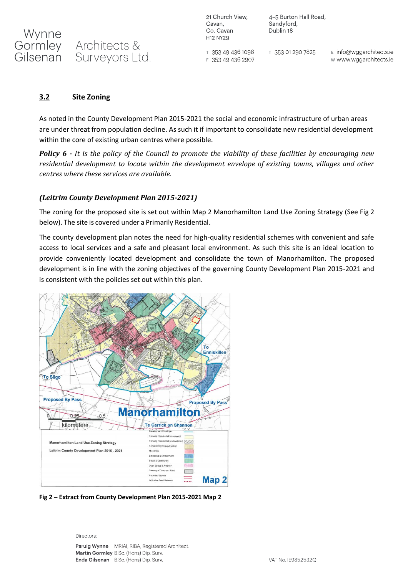21 Church View, Cavan. Co. Cavan H12 NY29

4-5 Burton Hall Road, Sandyford, Dublin 18

T 353 49 436 1096 F 353 49 436 2907 T 353 01 290 7825

E info@wggarchitects.ie w www.wggarchitects.ie

#### **3.2 Site Zoning**

As noted in the County Development Plan 2015-2021 the social and economic infrastructure of urban areas are under threat from population decline. As such it if important to consolidate new residential development within the core of existing urban centres where possible.

*Policy 6 - It is the policy of the Council to promote the viability of these facilities by encouraging new residential development to locate within the development envelope of existing towns, villages and other centres where these services are available.*

#### *(Leitrim County Development Plan 2015-2021)*

The zoning for the proposed site is set out within Map 2 Manorhamilton Land Use Zoning Strategy (See Fig 2 below). The site is covered under a Primarily Residential.

The county development plan notes the need for high-quality residential schemes with convenient and safe access to local services and a safe and pleasant local environment. As such this site is an ideal location to provide conveniently located development and consolidate the town of Manorhamilton. The proposed development is in line with the zoning objectives of the governing County Development Plan 2015-2021 and is consistent with the policies set out within this plan.



**Fig 2 – Extract from County Development Plan 2015-2021 Map 2**

#### Directors:

Paruig Wynne MRIAI, RIBA, Registered Architect. Martin Gormley B.Sc. (Hons) Dip. Surv. Enda Gilsenan B.Sc. (Hons) Dip. Surv.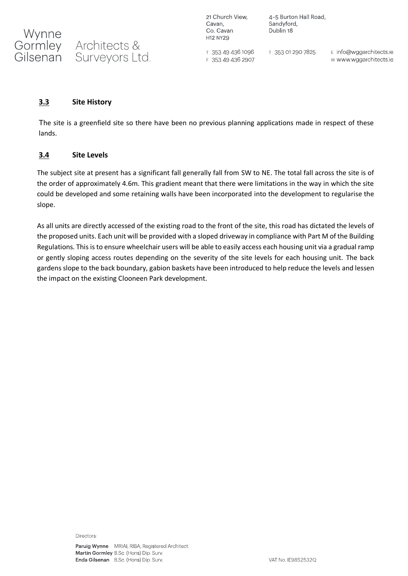21 Church View, Cavan, Co. Cavan H12 NY29

4-5 Burton Hall Road, Sandyford, Dublin 18

T 353 49 436 1096 F 353 49 436 2907 T 353 01 290 7825

E info@wggarchitects.ie w www.wggarchitects.ie

#### **3.3 Site History**

The site is a greenfield site so there have been no previous planning applications made in respect of these lands.

#### **3.4 Site Levels**

The subject site at present has a significant fall generally fall from SW to NE. The total fall across the site is of the order of approximately 4.6m. This gradient meant that there were limitations in the way in which the site could be developed and some retaining walls have been incorporated into the development to regularise the slope.

As all units are directly accessed of the existing road to the front of the site, this road has dictated the levels of the proposed units. Each unit will be provided with a sloped driveway in compliance with Part M of the Building Regulations. This is to ensure wheelchair users will be able to easily access each housing unit via a gradual ramp or gently sloping access routes depending on the severity of the site levels for each housing unit. The back gardens slope to the back boundary, gabion baskets have been introduced to help reduce the levels and lessen the impact on the existing Clooneen Park development.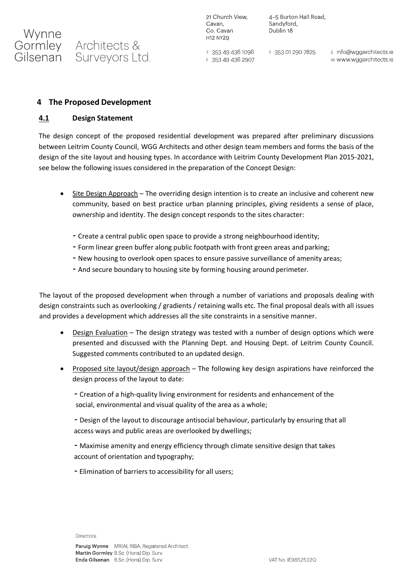

Gilsenan Surveyors Ltd.

21 Church View, Cavan, Co. Cavan H12 NY29

4-5 Burton Hall Road, Sandyford, Dublin 18

T 353 49 436 1096 F 353 49 436 2907

T 353 01 290 7825

E info@wggarchitects.ie w www.wggarchitects.ie

#### **4 The Proposed Development**

#### **4.1 Design Statement**

The design concept of the proposed residential development was prepared after preliminary discussions between Leitrim County Council, WGG Architects and other design team members and forms the basis of the design of the site layout and housing types. In accordance with Leitrim County Development Plan 2015-2021, see below the following issues considered in the preparation of the Concept Design:

- Site Design Approach The overriding design intention is to create an inclusive and coherent new community, based on best practice urban planning principles, giving residents a sense of place, ownership and identity. The design concept responds to the sites character:
	- Create a central public open space to provide a strong neighbourhood identity;
	- Form linear green buffer along public footpath with front green areas and parking;
	- •New housing to overlook open spaces to ensure passive surveillance of amenity areas;
	- And secure boundary to housing site by forming housing around perimeter.

The layout of the proposed development when through a number of variations and proposals dealing with design constraints such as overlooking / gradients / retaining walls etc. The final proposal deals with all issues and provides a development which addresses all the site constraints in a sensitive manner.

- Design Evaluation The design strategy was tested with a number of design options which were presented and discussed with the Planning Dept. and Housing Dept. of Leitrim County Council. Suggested comments contributed to an updated design.
- Proposed site layout/design approach The following key design aspirations have reinforced the design process of the layout to date:
	- Creation of a high-quality living environment for residents and enhancement of the social, environmental and visual quality of the area as a whole;
	- •Design of the layout to discourage antisocial behaviour, particularly by ensuring that all access ways and public areas are overlooked by dwellings;
	- Maximise amenity and energy efficiency through climate sensitive design that takes account of orientation and typography;
	- Elimination of barriers to accessibility for all users;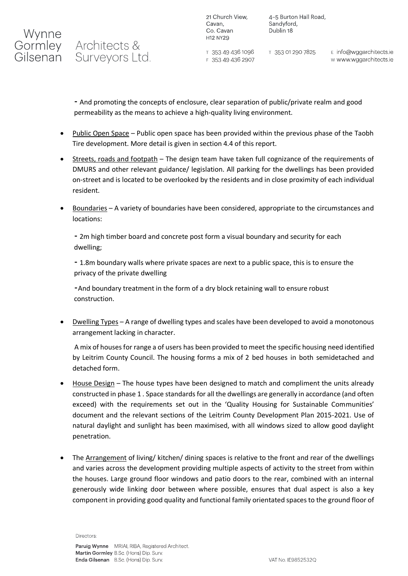## Gormley Architects & Gilsenan Surveyors Ltd.

4-5 Burton Hall Road, Sandyford, Dublin 18

⊤ 353 49 436 1096 F 353 49 436 2907

T 353 01 290 7825

E info@wggarchitects.ie w www.wggarchitects.ie

• And promoting the concepts of enclosure, clear separation of public/private realm and good permeability as the means to achieve a high-quality living environment.

- Public Open Space Public open space has been provided within the previous phase of the Taobh Tire development. More detail is given in section 4.4 of this report.
- Streets, roads and footpath The design team have taken full cognizance of the requirements of DMURS and other relevant guidance/ legislation. All parking for the dwellings has been provided on-street and is located to be overlooked by the residents and in close proximity of each individual resident.
- Boundaries A variety of boundaries have been considered, appropriate to the circumstances and locations:

• 2m high timber board and concrete post form a visual boundary and security for each dwelling;

• 1.8m boundary walls where private spaces are next to a public space, this is to ensure the privacy of the private dwelling

•And boundary treatment in the form of a dry block retaining wall to ensure robust construction.

• Dwelling Types – A range of dwelling types and scales have been developed to avoid a monotonous arrangement lacking in character.

A mix of housesfor range a of users has been provided to meet the specific housing need identified by Leitrim County Council. The housing forms a mix of 2 bed houses in both semidetached and detached form.

- House Design The house types have been designed to match and compliment the units already constructed in phase 1 . Space standards for all the dwellings are generally in accordance (and often exceed) with the requirements set out in the 'Quality Housing for Sustainable Communities' document and the relevant sections of the Leitrim County Development Plan 2015-2021. Use of natural daylight and sunlight has been maximised, with all windows sized to allow good daylight penetration.
- The Arrangement of living/ kitchen/ dining spaces is relative to the front and rear of the dwellings and varies across the development providing multiple aspects of activity to the street from within the houses. Large ground floor windows and patio doors to the rear, combined with an internal generously wide linking door between where possible, ensures that dual aspect is also a key component in providing good quality and functional family orientated spaces to the ground floor of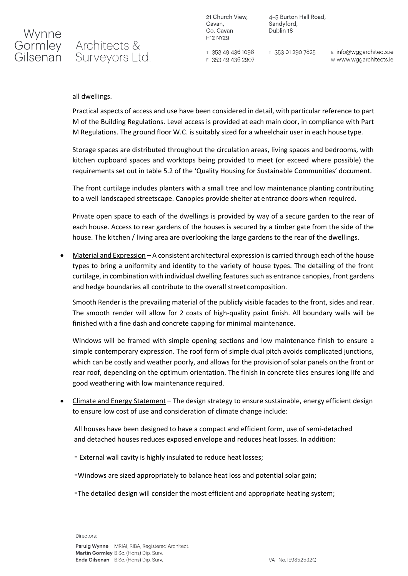

## Gormley Architects & Gilsenan Surveyors Ltd.

21 Church View, Cavan, Co. Cavan H12 NY29

4-5 Burton Hall Road, Sandyford, Dublin 18

T 353 49 436 1096 F 353 49 436 2907 T 353 01 290 7825

E info@wggarchitects.ie w www.wggarchitects.ie

#### all dwellings.

Practical aspects of access and use have been considered in detail, with particular reference to part M of the Building Regulations. Level access is provided at each main door, in compliance with Part M Regulations. The ground floor W.C. is suitably sized for a wheelchair user in each housetype.

Storage spaces are distributed throughout the circulation areas, living spaces and bedrooms, with kitchen cupboard spaces and worktops being provided to meet (or exceed where possible) the requirements set out in table 5.2 of the 'Quality Housing for Sustainable Communities' document.

The front curtilage includes planters with a small tree and low maintenance planting contributing to a well landscaped streetscape. Canopies provide shelter at entrance doors when required.

Private open space to each of the dwellings is provided by way of a secure garden to the rear of each house. Access to rear gardens of the houses is secured by a timber gate from the side of the house. The kitchen / living area are overlooking the large gardens to the rear of the dwellings.

• Material and Expression – A consistent architectural expression is carried through each of the house types to bring a uniformity and identity to the variety of house types. The detailing of the front curtilage, in combination with individual dwelling features such as entrance canopies, front gardens and hedge boundaries all contribute to the overall street composition.

Smooth Render is the prevailing material of the publicly visible facades to the front, sides and rear. The smooth render will allow for 2 coats of high-quality paint finish. All boundary walls will be finished with a fine dash and concrete capping for minimal maintenance.

Windows will be framed with simple opening sections and low maintenance finish to ensure a simple contemporary expression. The roof form of simple dual pitch avoids complicated junctions, which can be costly and weather poorly, and allows for the provision of solar panels on the front or rear roof, depending on the optimum orientation. The finish in concrete tiles ensures long life and good weathering with low maintenance required.

• Climate and Energy Statement – The design strategy to ensure sustainable, energy efficient design to ensure low cost of use and consideration of climate change include:

All houses have been designed to have a compact and efficient form, use of semi-detached and detached houses reduces exposed envelope and reduces heat losses. In addition:

- External wall cavity is highly insulated to reduce heat losses;
- •Windows are sized appropriately to balance heat loss and potential solar gain;
- •The detailed design will consider the most efficient and appropriate heating system;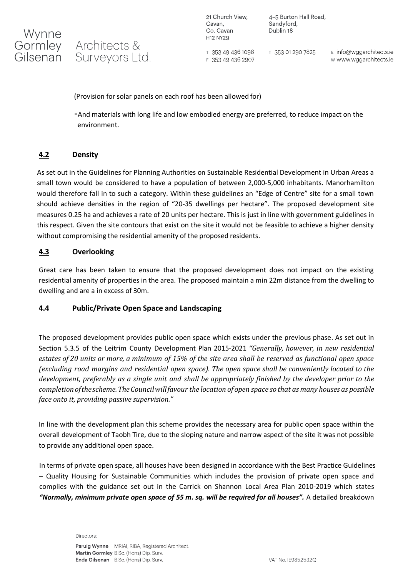

## **Architects &** Surveyors Ltd.

21 Church View, Cavan, Co. Cavan H12 NY29

4-5 Burton Hall Road, Sandyford. Dublin 18

T 353 49 436 1096 F 353 49 436 2907 T 353 01 290 7825

E info@wggarchitects.ie w www.wggarchitects.ie

(Provision for solar panels on each roof has been allowed for)

•And materials with long life and low embodied energy are preferred, to reduce impact on the environment.

#### **4.2 Density**

As set out in the Guidelines for Planning Authorities on Sustainable Residential Development in Urban Areas a small town would be considered to have a population of between 2,000-5,000 inhabitants. Manorhamilton would therefore fall in to such a category. Within these guidelines an "Edge of Centre" site for a small town should achieve densities in the region of "20-35 dwellings per hectare". The proposed development site measures 0.25 ha and achieves a rate of 20 units per hectare. This is just in line with government guidelines in this respect. Given the site contours that exist on the site it would not be feasible to achieve a higher density without compromising the residential amenity of the proposed residents.

#### **4.3 Overlooking**

Great care has been taken to ensure that the proposed development does not impact on the existing residential amenity of properties in the area. The proposed maintain a min 22m distance from the dwelling to dwelling and are a in excess of 30m.

#### **4.4 Public/Private Open Space and Landscaping**

The proposed development provides public open space which exists under the previous phase. As set out in Section 5.3.5 of the Leitrim County Development Plan 2015-2021 *"Generally, however, in new residential estates of 20 units or more, a minimum of 15% of the site area shall be reserved as functional open space (excluding road margins and residential open space). The open space shall be conveniently located to the development, preferably as a single unit and shall be appropriately finished by the developer prior to the completionofthescheme.TheCouncilwillfavour the location of open space so that as many houses as possible face onto it, providing passive supervision."*

In line with the development plan this scheme provides the necessary area for public open space within the overall development of Taobh Tire, due to the sloping nature and narrow aspect of the site it was not possible to provide any additional open space.

In terms of private open space, all houses have been designed in accordance with the Best Practice Guidelines – Quality Housing for Sustainable Communities which includes the provision of private open space and complies with the guidance set out in the Carrick on Shannon Local Area Plan 2010-2019 which states *"Normally, minimum private open space of 55 m. sq. will be required for all houses".* A detailed breakdown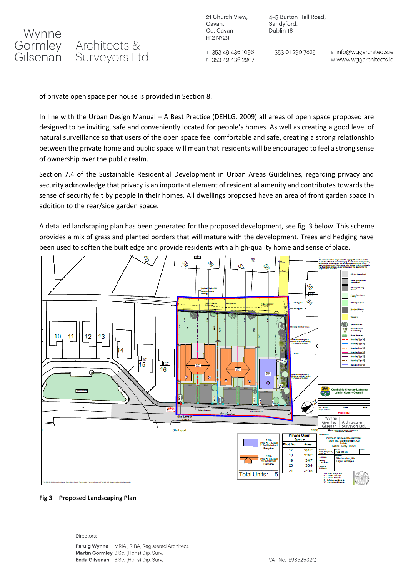

4-5 Burton Hall Road, Sandyford, Dublin 18

T 353 49 436 1096 T 353 01 290 7825 F 353 49 436 2907

E info@wggarchitects.ie w www.wggarchitects.ie

of private open space per house is provided in Section 8.

In line with the Urban Design Manual – A Best Practice (DEHLG, 2009) all areas of open space proposed are designed to be inviting, safe and conveniently located for people's homes. As well as creating a good level of natural surveillance so that users of the open space feel comfortable and safe, creating a strong relationship between the private home and public space will mean that residents will be encouraged to feel a strong sense of ownership over the public realm.

Section 7.4 of the Sustainable Residential Development in Urban Areas Guidelines, regarding privacy and security acknowledge that privacy is an important element of residential amenity and contributes towards the sense of security felt by people in their homes. All dwellings proposed have an area of front garden space in addition to the rear/side garden space.

A detailed landscaping plan has been generated for the proposed development, see fig. 3 below. This scheme provides a mix of grass and planted borders that will mature with the development. Trees and hedging have been used to soften the built edge and provide residents with a high-quality home and sense ofplace.



#### **Fig 3 – Proposed Landscaping Plan**

#### Directors:

Paruig Wynne MRIAI, RIBA, Registered Architect. Martin Gormley B.Sc. (Hons) Dip. Surv. Enda Gilsenan B.Sc. (Hons) Dip. Surv.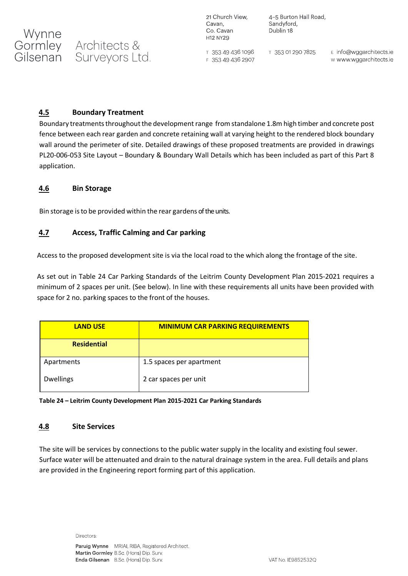**Architects &** Gilsenan Surveyors Ltd.

21 Church View, Cavan, Co. Cavan H12 NY29

4-5 Burton Hall Road, Sandyford, Dublin 18

T 353 49 436 1096 F 353 49 436 2907

T 353 01 290 7825

E info@wggarchitects.ie w www.wggarchitects.ie

#### **4.5 Boundary Treatment**

Boundary treatments throughout the development range from standalone 1.8m high timber and concrete post fence between each rear garden and concrete retaining wall at varying height to the rendered block boundary wall around the perimeter of site. Detailed drawings of these proposed treatments are provided in drawings PL20-006-053 Site Layout – Boundary & Boundary Wall Details which has been included as part of this Part 8 application.

#### **4.6 Bin Storage**

Wynne<br>Gormley

Bin storage isto be provided within the rear gardens of the units.

#### **4.7 Access, Traffic Calming and Car parking**

Access to the proposed development site is via the local road to the which along the frontage of the site.

As set out in Table 24 Car Parking Standards of the Leitrim County Development Plan 2015-2021 requires a minimum of 2 spaces per unit. (See below). In line with these requirements all units have been provided with space for 2 no. parking spaces to the front of the houses.

| <b>LAND USE</b>    | <b>MINIMUM CAR PARKING REQUIREMENTS</b> |
|--------------------|-----------------------------------------|
| <b>Residential</b> |                                         |
| Apartments         | 1.5 spaces per apartment                |
| <b>Dwellings</b>   | 2 car spaces per unit                   |

**Table 24 – Leitrim County Development Plan 2015-2021 Car Parking Standards**

#### **4.8 Site Services**

The site will be services by connections to the public water supply in the locality and existing foul sewer. Surface water will be attenuated and drain to the natural drainage system in the area. Full details and plans are provided in the Engineering report forming part of this application.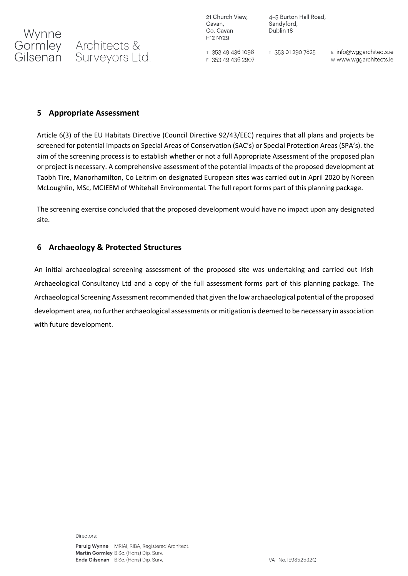Wynne<br>Gormley Architects &

Gilsenan Surveyors Ltd.

21 Church View, Cavan, Co. Cavan H12 NY29

4-5 Burton Hall Road, Sandyford, Dublin 18

T 353 49 436 1096 F 353 49 436 2907 T 353 01 290 7825

E info@wggarchitects.ie w www.wggarchitects.ie

#### **5 Appropriate Assessment**

Article 6(3) of the EU Habitats Directive (Council Directive 92/43/EEC) requires that all plans and projects be screened for potential impacts on Special Areas of Conservation (SAC's) or Special Protection Areas (SPA's). the aim of the screening process is to establish whether or not a full Appropriate Assessment of the proposed plan or project is necessary. A comprehensive assessment of the potential impacts of the proposed development at Taobh Tire, Manorhamilton, Co Leitrim on designated European sites was carried out in April 2020 by Noreen McLoughlin, MSc, MCIEEM of Whitehall Environmental. The full report forms part of this planning package.

The screening exercise concluded that the proposed development would have no impact upon any designated site.

### **6 Archaeology & Protected Structures**

An initial archaeological screening assessment of the proposed site was undertaking and carried out Irish Archaeological Consultancy Ltd and a copy of the full assessment forms part of this planning package. The Archaeological Screening Assessment recommended that given the low archaeological potential of the proposed development area, no further archaeological assessments or mitigation is deemed to be necessary in association with future development.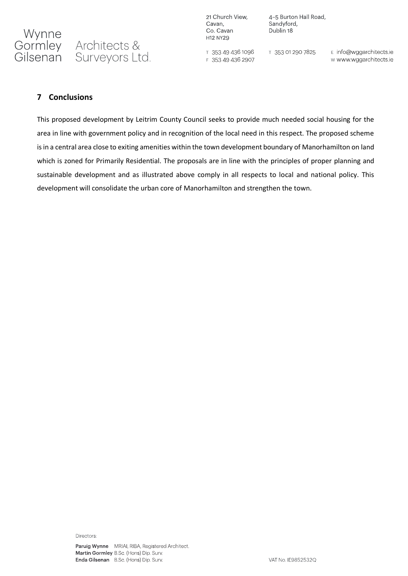21 Church View, Cavan, Co. Cavan H12 NY29

4-5 Burton Hall Road, Sandyford, Dublin 18

T 353 49 436 1096 F 353 49 436 2907

T 353 01 290 7825

E info@wggarchitects.ie w www.wggarchitects.ie

#### **7 Conclusions**

This proposed development by Leitrim County Council seeks to provide much needed social housing for the area in line with government policy and in recognition of the local need in this respect. The proposed scheme is in a central area close to exiting amenities within the town development boundary of Manorhamilton on land which is zoned for Primarily Residential. The proposals are in line with the principles of proper planning and sustainable development and as illustrated above comply in all respects to local and national policy. This development will consolidate the urban core of Manorhamilton and strengthen the town.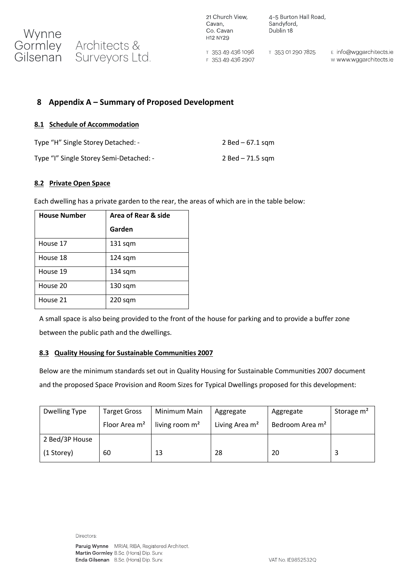

4-5 Burton Hall Road, Sandyford, Dublin 18

 $T$  353 49 436 1096 F 353 49 436 2907

T 353 01 290 7825

E info@wggarchitects.ie w www.wggarchitects.ie

#### **8 Appendix A – Summary of Proposed Development**

#### **8.1 Schedule of Accommodation**

| Type "H" Single Storey Detached: -      | $2$ Bed – 67.1 sqm |
|-----------------------------------------|--------------------|
| Type "I" Single Storey Semi-Detached: - | 2 Bed – 71.5 sgm   |

#### **8.2 Private Open Space**

Each dwelling has a private garden to the rear, the areas of which are in the table below:

| <b>House Number</b> | Area of Rear & side |
|---------------------|---------------------|
|                     | Garden              |
| House 17            | $131$ sqm           |
| House 18            | $124$ sqm           |
| House 19            | $134$ sqm           |
| House 20            | $130$ sqm           |
| House 21            | $220$ sqm           |

A small space is also being provided to the front of the house for parking and to provide a buffer zone between the public path and the dwellings.

#### **8.3 Quality Housing for Sustainable Communities 2007**

Below are the minimum standards set out in Quality Housing for Sustainable Communities 2007 document and the proposed Space Provision and Room Sizes for Typical Dwellings proposed for this development:

| Dwelling Type  | <b>Target Gross</b>       | Minimum Main     | Aggregate                  | Aggregate                   | Storage m <sup>2</sup> |
|----------------|---------------------------|------------------|----------------------------|-----------------------------|------------------------|
|                | Floor Area m <sup>2</sup> | living room $m2$ | Living Area m <sup>2</sup> | Bedroom Area m <sup>2</sup> |                        |
| 2 Bed/3P House |                           |                  |                            |                             |                        |
| (1 Storey)     | 60                        | 13               | 28                         | 20                          |                        |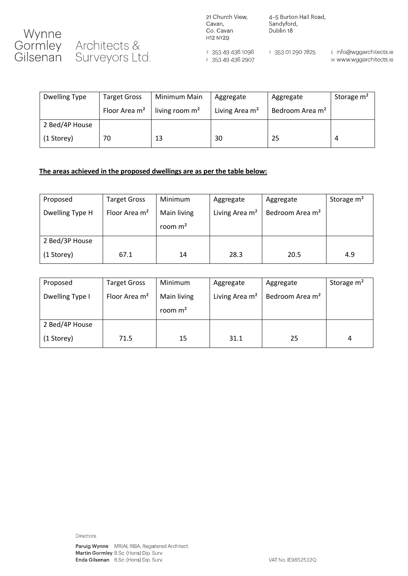

21 Church View, Cavan, Co. Cavan H12 NY29

T 353 49 436 1096

F 353 49 436 2907

4-5 Burton Hall Road, Sandyford, Dublin 18

T 353 01 290 7825

E info@wggarchitects.ie w www.wggarchitects.ie

| Dwelling Type  | <b>Target Gross</b>       | Minimum Main     | Aggregate                  | Aggregate                   | Storage m <sup>2</sup> |
|----------------|---------------------------|------------------|----------------------------|-----------------------------|------------------------|
|                | Floor Area m <sup>2</sup> | living room $m2$ | Living Area m <sup>2</sup> | Bedroom Area m <sup>2</sup> |                        |
| 2 Bed/4P House |                           |                  |                            |                             |                        |
| (1 Storey)     | 70                        | 13               | 30                         | 25                          |                        |

#### **The areas achieved in the proposed dwellings are as per the table below:**

| Proposed        | <b>Target Gross</b>       | Minimum                  | Aggregate                  | Aggregate                   | Storage m <sup>2</sup> |
|-----------------|---------------------------|--------------------------|----------------------------|-----------------------------|------------------------|
| Dwelling Type H | Floor Area m <sup>2</sup> | Main living<br>room $m2$ | Living Area m <sup>2</sup> | Bedroom Area m <sup>2</sup> |                        |
| 2 Bed/3P House  |                           |                          |                            |                             |                        |
| (1 Storey)      | 67.1                      | 14                       | 28.3                       | 20.5                        | 4.9                    |

| Proposed        | <b>Target Gross</b> | Minimum                  | Aggregate                  | Aggregate                   | Storage m <sup>2</sup> |
|-----------------|---------------------|--------------------------|----------------------------|-----------------------------|------------------------|
| Dwelling Type I | Floor Area $m2$     | Main living<br>room $m2$ | Living Area m <sup>2</sup> | Bedroom Area m <sup>2</sup> |                        |
| 2 Bed/4P House  |                     |                          |                            |                             |                        |
| (1 Storey)      | 71.5                | 15                       | 31.1                       | 25                          | 4                      |